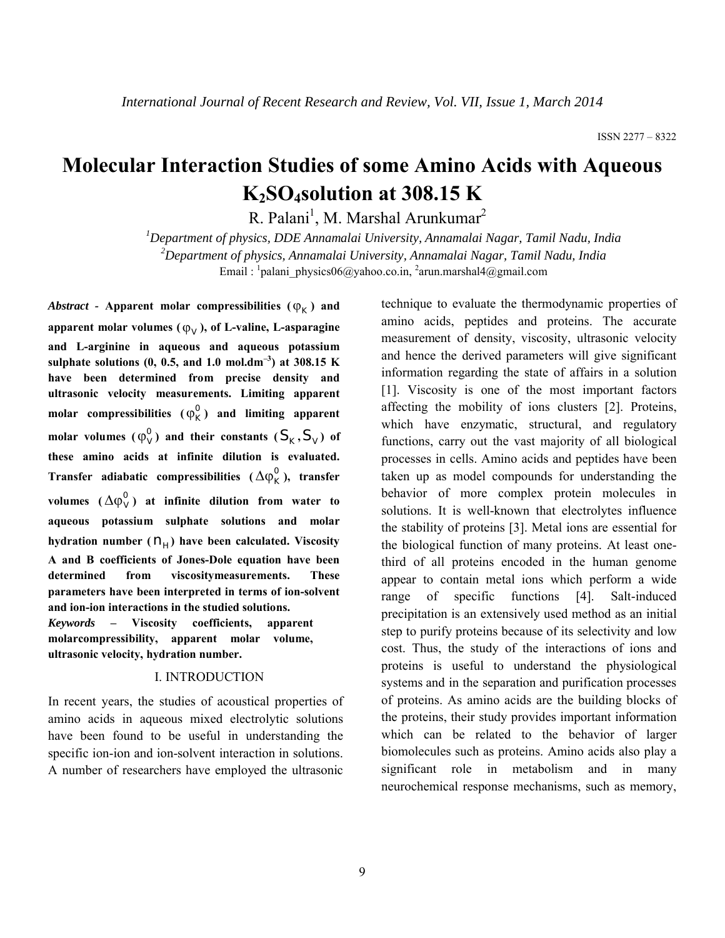# **Molecular Interaction Studies of some Amino Acids with Aqueous K2SO4solution at 308.15 K**

R. Palani<sup>1</sup>, M. Marshal Arunkumar<sup>2</sup>

*1 Department of physics, DDE Annamalai University, Annamalai Nagar, Tamil Nadu, India 2 Department of physics, Annamalai University, Annamalai Nagar, Tamil Nadu, India* Email : <sup>1</sup> palani physics06@yahoo.co.in, <sup>2</sup> arun.marshal4@gmail.com

*Abstract* - Apparent molar compressibilities  $(\varphi_K)$  and apparent molar volumes  $(\varphi_V)$ , of L-valine, L-asparagine **and L-arginine in aqueous and aqueous potassium sulphate solutions (0, 0.5, and 1.0 mol.dm–3) at 308.15 K have been determined from precise density and ultrasonic velocity measurements. Limiting apparent**  molar compressibilities  $(\varphi_{K}^{0})$  and limiting apparent **molar volumes**  $(\varphi_v^0)$  and their constants  $(S_K, S_V)$  of **these amino acids at infinite dilution is evaluated. Transfer adiabatic compressibilities**  $(\Delta \phi_K^0)$ , transfer volumes  $({\Delta \varphi}_{V}^{0})$  at infinite dilution from water to **aqueous potassium sulphate solutions and molar**  hydration number  $(n<sub>H</sub>)$  have been calculated. Viscosity **A and B coefficients of Jones-Dole equation have been determined from viscositymeasurements. These parameters have been interpreted in terms of ion-solvent and ion-ion interactions in the studied solutions.** *Keywords* **– Viscosity coefficients, apparent molarcompressibility, apparent molar volume,** 

**ultrasonic velocity, hydration number.**

# I. INTRODUCTION

In recent years, the studies of acoustical properties of amino acids in aqueous mixed electrolytic solutions have been found to be useful in understanding the specific ion-ion and ion-solvent interaction in solutions. A number of researchers have employed the ultrasonic

technique to evaluate the thermodynamic properties of amino acids, peptides and proteins. The accurate measurement of density, viscosity, ultrasonic velocity and hence the derived parameters will give significant information regarding the state of affairs in a solution [1]. Viscosity is one of the most important factors affecting the mobility of ions clusters [2]. Proteins, which have enzymatic, structural, and regulatory functions, carry out the vast majority of all biological processes in cells. Amino acids and peptides have been taken up as model compounds for understanding the behavior of more complex protein molecules in solutions. It is well-known that electrolytes influence the stability of proteins [3]. Metal ions are essential for the biological function of many proteins. At least onethird of all proteins encoded in the human genome appear to contain metal ions which perform a wide range of specific functions [4]. Salt-induced precipitation is an extensively used method as an initial step to purify proteins because of its selectivity and low cost. Thus, the study of the interactions of ions and proteins is useful to understand the physiological systems and in the separation and purification processes of proteins. As amino acids are the building blocks of the proteins, their study provides important information which can be related to the behavior of larger biomolecules such as proteins. Amino acids also play a significant role in metabolism and in many neurochemical response mechanisms, such as memory,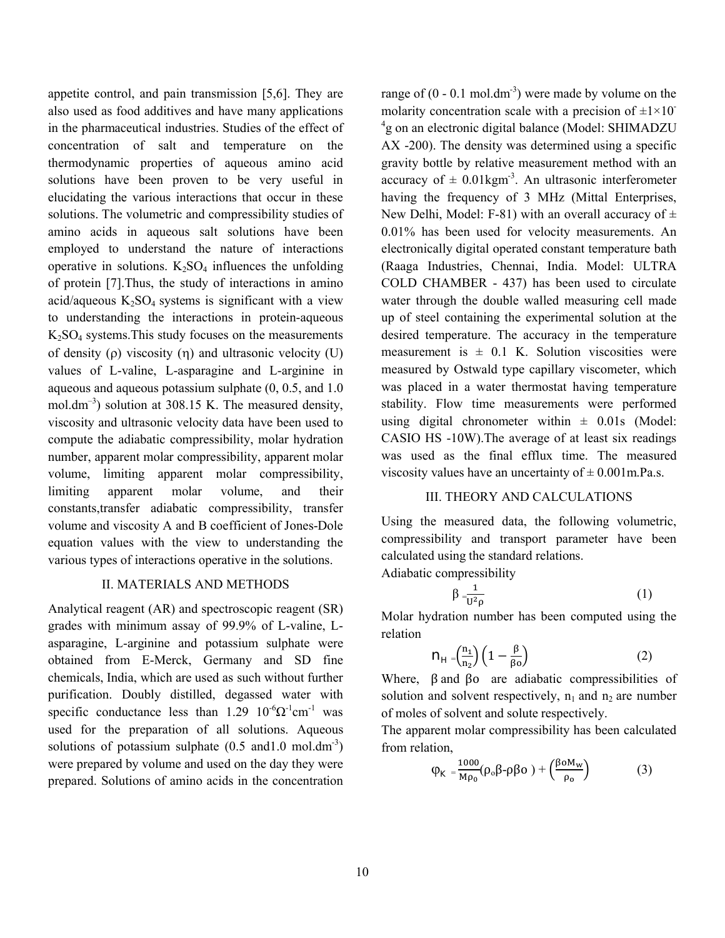appetite control, and pain transmission [5,6]. They are also used as food additives and have many applications in the pharmaceutical industries. Studies of the effect of concentration of salt and temperature on the thermodynamic properties of aqueous amino acid solutions have been proven to be very useful in elucidating the various interactions that occur in these solutions. The volumetric and compressibility studies of amino acids in aqueous salt solutions have been employed to understand the nature of interactions operative in solutions.  $K_2SO_4$  influences the unfolding of protein [7].Thus, the study of interactions in amino acid/aqueous  $K_2SO_4$  systems is significant with a view to understanding the interactions in protein-aqueous  $K<sub>2</sub>SO<sub>4</sub>$  systems. This study focuses on the measurements of density ( $\rho$ ) viscosity ( $\eta$ ) and ultrasonic velocity (U) values of L-valine, L-asparagine and L-arginine in aqueous and aqueous potassium sulphate (0, 0.5, and 1.0 mol.dm<sup>-3</sup>) solution at 308.15 K. The measured density, viscosity and ultrasonic velocity data have been used to compute the adiabatic compressibility, molar hydration number, apparent molar compressibility, apparent molar volume, limiting apparent molar compressibility, limiting apparent molar volume, and their constants,transfer adiabatic compressibility, transfer volume and viscosity A and B coefficient of Jones-Dole equation values with the view to understanding the various types of interactions operative in the solutions.

#### II. MATERIALS AND METHODS

Analytical reagent (AR) and spectroscopic reagent (SR) grades with minimum assay of 99.9% of L-valine, Lasparagine, L-arginine and potassium sulphate were obtained from E-Merck, Germany and SD fine chemicals, India, which are used as such without further purification. Doubly distilled, degassed water with specific conductance less than 1.29  $10^{-6} \Omega^{-1}$ cm<sup>-1</sup> was used for the preparation of all solutions. Aqueous solutions of potassium sulphate  $(0.5 \text{ and } 1.0 \text{ mol.dim}^3)$ were prepared by volume and used on the day they were prepared. Solutions of amino acids in the concentration

range of  $(0 - 0.1 \text{ mol.dim}^3)$  were made by volume on the molarity concentration scale with a precision of  $\pm 1\times 10^{-1}$ <sup>4</sup>g on an electronic digital balance (Model: SHIMADZU AX -200). The density was determined using a specific gravity bottle by relative measurement method with an accuracy of  $\pm$  0.01kgm<sup>-3</sup>. An ultrasonic interferometer having the frequency of 3 MHz (Mittal Enterprises, New Delhi, Model: F-81) with an overall accuracy of  $\pm$ 0.01% has been used for velocity measurements. An electronically digital operated constant temperature bath (Raaga Industries, Chennai, India. Model: ULTRA COLD CHAMBER - 437) has been used to circulate water through the double walled measuring cell made up of steel containing the experimental solution at the desired temperature. The accuracy in the temperature measurement is  $\pm$  0.1 K. Solution viscosities were measured by Ostwald type capillary viscometer, which was placed in a water thermostat having temperature stability. Flow time measurements were performed using digital chronometer within  $\pm$  0.01s (Model: CASIO HS -10W).The average of at least six readings was used as the final efflux time. The measured viscosity values have an uncertainty of  $\pm$  0.001 m. Pa.s.

# III. THEORY AND CALCULATIONS

Using the measured data, the following volumetric, compressibility and transport parameter have been calculated using the standard relations.

Adiabatic compressibility

$$
\beta = \frac{1}{U^2 \rho} \tag{1}
$$

Molar hydration number has been computed using the relation

$$
n_{H} = \left(\frac{n_1}{n_2}\right) \left(1 - \frac{\beta}{\beta_0}\right) \tag{2}
$$

Where,  $\beta$  and  $\beta$  are adiabatic compressibilities of solution and solvent respectively,  $n_1$  and  $n_2$  are number of moles of solvent and solute respectively.

The apparent molar compressibility has been calculated from relation,

$$
\varphi_{K} = \frac{1000}{M\rho_{0}} (\rho_{0}\beta - \rho\beta_{0}) + \left(\frac{\beta_{0}M_{w}}{\rho_{0}}\right)
$$
 (3)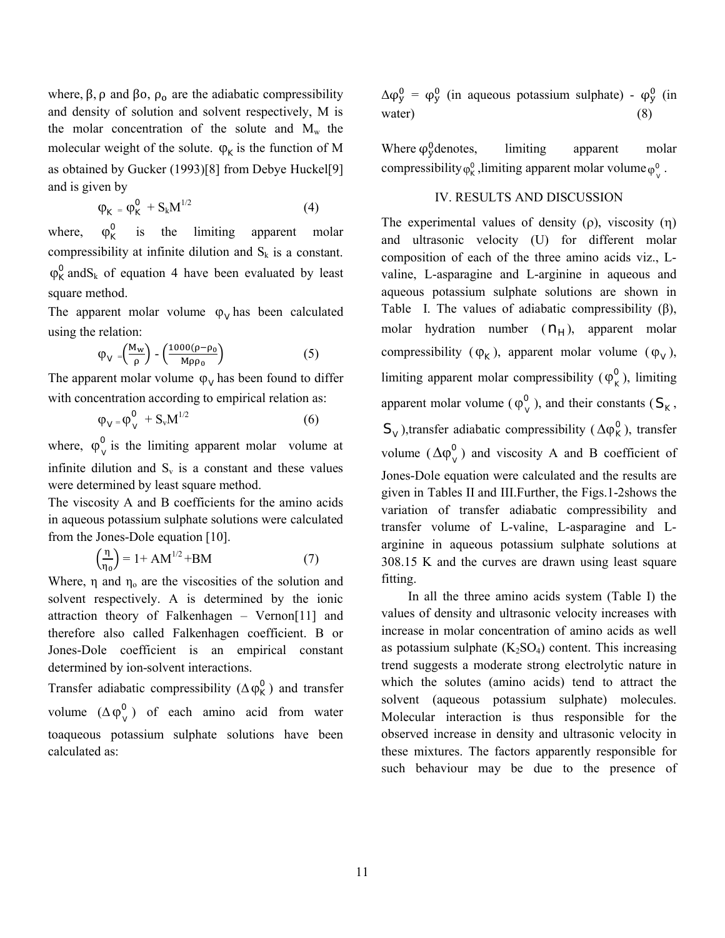where,  $\beta$ ,  $\rho$  and  $\beta$ o,  $\rho_o$  are the adiabatic compressibility and density of solution and solvent respectively, M is the molar concentration of the solute and  $M_w$  the molecular weight of the solute.  $\varphi_K$  is the function of M as obtained by Gucker (1993)[8] from Debye Huckel[9] and is given by

$$
\varphi_K = \varphi_K^0 + S_k M^{1/2} \tag{4}
$$

where,  $\varphi_{\kappa}^{0}$  is the limiting apparent molar compressibility at infinite dilution and  $S_k$  is a constant.  $\varphi_K^0$  and S<sub>k</sub> of equation 4 have been evaluated by least square method.

The apparent molar volume  $\varphi_V$  has been calculated using the relation:

$$
\varphi_{V} = \left(\frac{M_{w}}{\rho}\right) - \left(\frac{1000(\rho - \rho_{0})}{M\rho\rho_{0}}\right) \tag{5}
$$

The apparent molar volume  $\varphi_V$  has been found to differ with concentration according to empirical relation as:

$$
\varphi_V = \varphi_V^0 + S_v M^{1/2} \tag{6}
$$

where,  $\varphi_{\nu}^{0}$  is the limiting apparent molar volume at infinite dilution and  $S_v$  is a constant and these values were determined by least square method.

The viscosity A and B coefficients for the amino acids in aqueous potassium sulphate solutions were calculated from the Jones-Dole equation [10].

$$
\left(\frac{\eta}{\eta_0}\right) = 1 + AM^{1/2} + BM \tag{7}
$$

Where,  $\eta$  and  $\eta_0$  are the viscosities of the solution and solvent respectively. A is determined by the ionic attraction theory of Falkenhagen – Vernon[11] and therefore also called Falkenhagen coefficient. B or Jones-Dole coefficient is an empirical constant determined by ion-solvent interactions.

Transfer adiabatic compressibility ( $\Delta \varphi_K^0$ ) and transfer volume  $(\Delta \phi_{V}^{0})$  of each amino acid from water toaqueous potassium sulphate solutions have been calculated as:

 $\Delta \varphi_y^0 = \varphi_y^0$  (in aqueous potassium sulphate) -  $\varphi_y^0$  (in water) (8)

Where  $\varphi_{\text{y}}^0$  denotes, limiting apparent molar compressibility  $\varphi_{\rm K}^0$ , limiting apparent molar volume  $\varphi_{\rm V}^0$ .

# IV. RESULTS AND DISCUSSION

The experimental values of density  $(\rho)$ , viscosity  $(\eta)$ and ultrasonic velocity (U) for different molar composition of each of the three amino acids viz., Lvaline, L-asparagine and L-arginine in aqueous and aqueous potassium sulphate solutions are shown in Table I. The values of adiabatic compressibility  $(\beta)$ , molar hydration number  $(n_H)$ , apparent molar compressibility ( $\varphi_K$ ), apparent molar volume ( $\varphi_V$ ), limiting apparent molar compressibility ( $\varphi_k^0$ ), limiting apparent molar volume ( $\varphi_v^0$ ), and their constants ( $S_K$ ,  $S_V$ ),transfer adiabatic compressibility ( $\Delta \varphi_K^0$ ), transfer volume  $(\Delta \varphi_v^0)$  and viscosity A and B coefficient of Jones-Dole equation were calculated and the results are given in Tables II and III.Further, the Figs.1-2shows the variation of transfer adiabatic compressibility and transfer volume of L-valine, L-asparagine and Larginine in aqueous potassium sulphate solutions at 308.15 K and the curves are drawn using least square fitting.

In all the three amino acids system (Table I) the values of density and ultrasonic velocity increases with increase in molar concentration of amino acids as well as potassium sulphate  $(K_2SO_4)$  content. This increasing trend suggests a moderate strong electrolytic nature in which the solutes (amino acids) tend to attract the solvent (aqueous potassium sulphate) molecules. Molecular interaction is thus responsible for the observed increase in density and ultrasonic velocity in these mixtures. The factors apparently responsible for such behaviour may be due to the presence of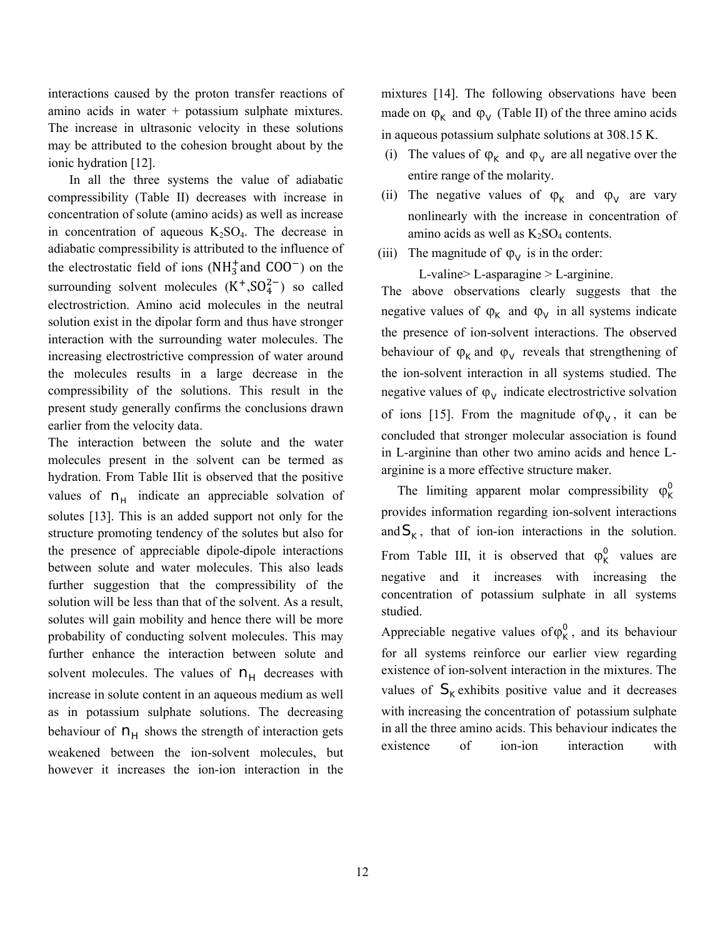interactions caused by the proton transfer reactions of amino acids in water + potassium sulphate mixtures. The increase in ultrasonic velocity in these solutions may be attributed to the cohesion brought about by the ionic hydration [12].

In all the three systems the value of adiabatic compressibility (Table II) decreases with increase in concentration of solute (amino acids) as well as increase in concentration of aqueous  $K_2SO_4$ . The decrease in adiabatic compressibility is attributed to the influence of the electrostatic field of ions  $(NH_3^+$  and  $COO^-$ ) on the surrounding solvent molecules  $(K^+, SO_4^{2-})$  so called electrostriction. Amino acid molecules in the neutral solution exist in the dipolar form and thus have stronger interaction with the surrounding water molecules. The increasing electrostrictive compression of water around the molecules results in a large decrease in the compressibility of the solutions. This result in the present study generally confirms the conclusions drawn earlier from the velocity data.

The interaction between the solute and the water molecules present in the solvent can be termed as hydration. From Table IIit is observed that the positive values of  $n_H$  indicate an appreciable solvation of solutes [13]. This is an added support not only for the structure promoting tendency of the solutes but also for the presence of appreciable dipole-dipole interactions between solute and water molecules. This also leads further suggestion that the compressibility of the solution will be less than that of the solvent. As a result, solutes will gain mobility and hence there will be more probability of conducting solvent molecules. This may further enhance the interaction between solute and solvent molecules. The values of  $n_H$  decreases with increase in solute content in an aqueous medium as well as in potassium sulphate solutions. The decreasing behaviour of  $n_H$  shows the strength of interaction gets weakened between the ion-solvent molecules, but however it increases the ion-ion interaction in the mixtures [14]. The following observations have been made on  $\varphi_{K}$  and  $\varphi_{V}$  (Table II) of the three amino acids in aqueous potassium sulphate solutions at 308.15 K.

- (i) The values of  $\varphi_K$  and  $\varphi_V$  are all negative over the entire range of the molarity.
- (ii) The negative values of  $\varphi_{\kappa}$  and  $\varphi_{\rm V}$  are vary nonlinearly with the increase in concentration of amino acids as well as  $K_2SO_4$  contents.
- (iii) The magnitude of  $\varphi_V$  is in the order:

L-valine> L-asparagine > L-arginine.

The above observations clearly suggests that the negative values of  $\varphi_K$  and  $\varphi_V$  in all systems indicate the presence of ion-solvent interactions. The observed behaviour of  $\varphi_K$  and  $\varphi_V$  reveals that strengthening of the ion-solvent interaction in all systems studied. The negative values of  $\varphi_V$  indicate electrostrictive solvation of ions [15]. From the magnitude of  $\varphi_V$ , it can be concluded that stronger molecular association is found in L-arginine than other two amino acids and hence Larginine is a more effective structure maker.

The limiting apparent molar compressibility  $\varphi_{\kappa}^{0}$ provides information regarding ion-solvent interactions and  $S_{K}$ , that of ion-ion interactions in the solution. From Table III, it is observed that  $\varphi_K^0$  values are negative and it increases with increasing the concentration of potassium sulphate in all systems studied.

Appreciable negative values of  $\varphi_{\kappa}^{0}$ , and its behaviour for all systems reinforce our earlier view regarding existence of ion-solvent interaction in the mixtures. The values of  $S_k$  exhibits positive value and it decreases with increasing the concentration of potassium sulphate in all the three amino acids. This behaviour indicates the existence of ion-ion interaction with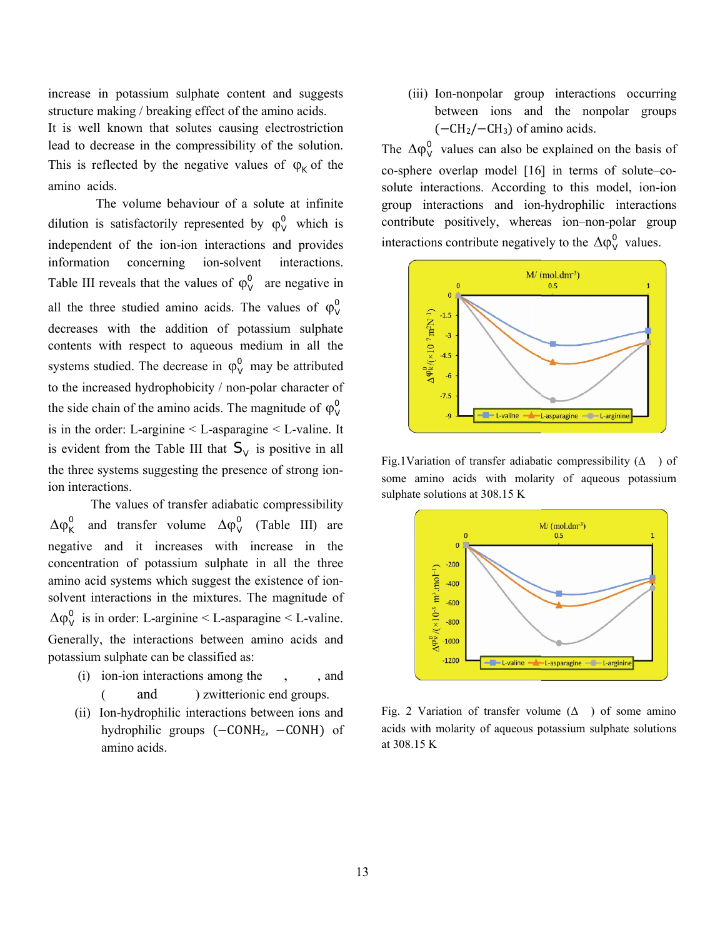increase in potassium sulphate content and suggests structure making / breaking effect of the amino acids.

It is well known that solutes causing electrostriction lead to decrease in the compressibility of the solution. structure making / breaking effect of the amino acids.<br>It is well known that solutes causing electrostriction<br>lead to decrease in the compressibility of the solution.<br>This is reflected by the negative values of  $\varphi_K$  of amino acids.

The volume behaviour of a solute at infinite dilution is satisfactorily represented by  $\varphi_V^0$  which is independent of the ion-ion interactions and provides information concerning ion-solvent interactions. information concerning ion-solvent Table III reveals that the values of  $\varphi_V^0$  are negative in all the three studied amino acids. The values of  $\varphi_V^0$ decreases with the addition of potassium sulphate contents with respect to aqueous medium in all the systems studied. The decrease in  $\varphi_V^0$  may be attributed to the increased hydrophobicity / non-polar character of the side chain of the amino acids. The magnitude of  $\varphi_v^0$ is in the order: L-arginine  $\leq$  L-asparagine  $\leq$  L-valine. It is evident from the Table III that  $S_V$  is positive in all the three systems suggesting the presence of strong ionthe three systems suggesting the presence of strong ion ion interactions. s with the addition of potassium sulphate<br>with respect to aqueous medium in all the<br>studied. The decrease in  $\varphi_V^0$  may be attributed<br>creased hydrophobicity / non-polar character of<br>chain of the amino acids. The magnitu

The values of transfer adiabatic compressibility The values of transfer adiabatic compressibility<br>  $\Delta \varphi_K^0$  and transfer volume  $\Delta \varphi_V^0$  (Table III) are negative and it increases with increase in the concentration of potassium sulphate in all the three negative and it increases with increase in the concentration of potassium sulphate in all the three amino acid systems which suggest the existence of ionsolvent interactions in the mixtures. The magnitude of  $\Delta \varphi_V^0$  is in order: L-arginine < L-asparagine < L-valine. Generally, the interactions between amino acids and potassium sulphate can be classified as:

- (i) ion-ion interactions among the and ) zwitterionic end groups. , , and
- (ii) Ion-hydrophilic interactions between ions and hydrophilic groups (–CONH<sub>2</sub>, –CONH) of amino acids.

(iii) Ion-nonpolar group interactions occurring between ions and the nonpolar groups  $(-CH<sub>2</sub>/-CH<sub>3</sub>)$  of amino acids. (iii) Ion-nonpolar group interactions occurring<br>between ions and the nonpolar groups<br> $(-CH_2/-CH_3)$  of amino acids.<br>also  $\Delta \phi_V^0$  values can also be explained on the basis of<br>sphere overlap model [16] in terms of solute–co-

The  $\Delta \varphi_V^0$  values can also be explained on the basis of co-sphere overlap model [16] in terms of solute solute interactions. According to this model, ion-ion group interactions and ion-hydrophilic interactions contribute positively, whereas ion–non-polar group interactions contribute negatively to the  $\Delta \varphi_V^0$  values.



Fig.1Variation of transfer adiabatic compressibility  $( \Delta )$  of some amino acids with molarity of aqueous potassium sulphate solutions at 308.15 K



Fig. 2 Variation of transfer volume  $(\Delta)$  of some amino acids with molarity of aqueous potassium sulphate solutions at 308.15 K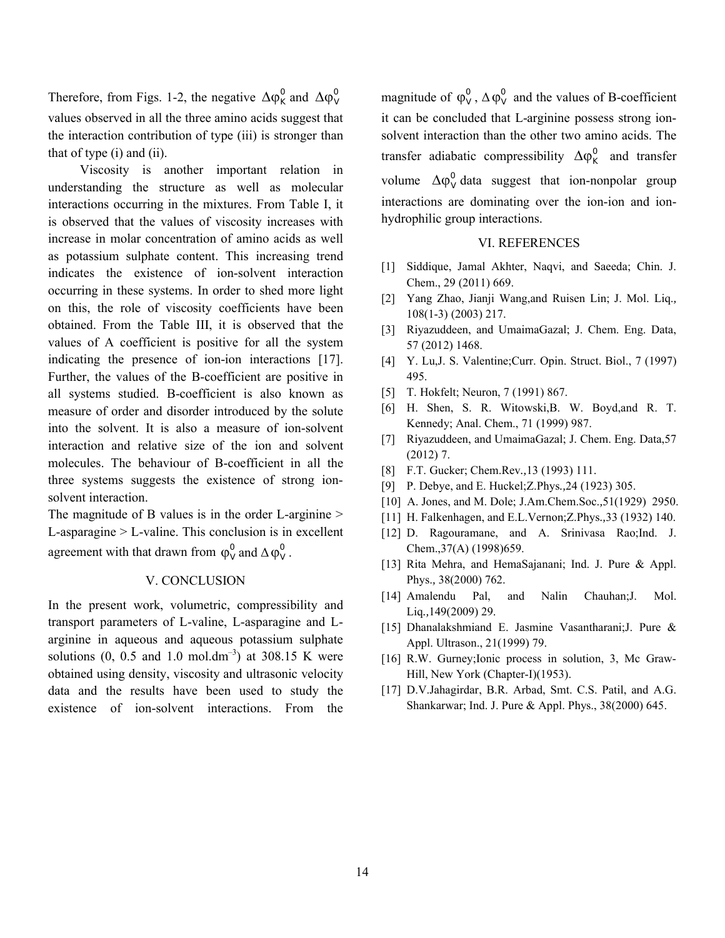Therefore, from Figs. 1-2, the negative  $\Delta \varphi_K^0$  and  $\Delta \varphi_V^0$ values observed in all the three amino acids suggest that the interaction contribution of type (iii) is stronger than that of type (i) and (ii).

Viscosity is another important relation in understanding the structure as well as molecular interactions occurring in the mixtures. From Table I, it is observed that the values of viscosity increases with increase in molar concentration of amino acids as well as potassium sulphate content. This increasing trend indicates the existence of ion-solvent interaction occurring in these systems. In order to shed more light on this, the role of viscosity coefficients have been obtained. From the Table III, it is observed that the values of A coefficient is positive for all the system indicating the presence of ion-ion interactions [17]. Further, the values of the B-coefficient are positive in all systems studied. B-coefficient is also known as measure of order and disorder introduced by the solute into the solvent. It is also a measure of ion-solvent interaction and relative size of the ion and solvent molecules. The behaviour of B-coefficient in all the three systems suggests the existence of strong ionsolvent interaction.

The magnitude of B values is in the order L-arginine  $>$ L-asparagine > L-valine. This conclusion is in excellent agreement with that drawn from  $\varphi_V^0$  and  $\Delta \varphi_V^0$ .

#### V. CONCLUSION

In the present work, volumetric, compressibility and transport parameters of L-valine, L-asparagine and Larginine in aqueous and aqueous potassium sulphate solutions  $(0, 0.5 \text{ and } 1.0 \text{ mol.dim}^{-3})$  at 308.15 K were obtained using density, viscosity and ultrasonic velocity data and the results have been used to study the existence of ion-solvent interactions. From the magnitude of  $\varphi_V^0$ ,  $\Delta \varphi_V^0$  and the values of B-coefficient it can be concluded that L-arginine possess strong ionsolvent interaction than the other two amino acids. The transfer adiabatic compressibility  $\Delta \varphi_K^0$  and transfer volume  $\Delta \varphi_v^0$  data suggest that ion-nonpolar group interactions are dominating over the ion-ion and ionhydrophilic group interactions.

#### VI. REFERENCES

- [1] Siddique, Jamal Akhter, Naqvi, and Saeeda; Chin. J. Chem., 29 (2011) 669.
- [2] Yang Zhao, Jianji Wang,and Ruisen Lin; J. Mol. Liq.*,* 108(1-3) (2003) 217.
- [3] Riyazuddeen, and UmaimaGazal; J. Chem. Eng. Data, 57 (2012) 1468.
- [4] Y. Lu,J. S. Valentine;Curr. Opin. Struct. Biol., 7 (1997) 495.
- [5] T. Hokfelt; Neuron, 7 (1991) 867.
- [6] H. Shen, S. R. Witowski,B. W. Boyd,and R. T. Kennedy; Anal. Chem., 71 (1999) 987.
- [7] Riyazuddeen, and UmaimaGazal; J. Chem. Eng. Data,57 (2012) 7.
- [8] F.T. Gucker; Chem.Rev*.,*13 (1993) 111.
- [9] P. Debye, and E. Huckel;Z.Phys*.,*24 (1923) 305.
- [10] A. Jones, and M. Dole; J.Am.Chem.Soc.*,*51(1929) 2950.
- [11] H. Falkenhagen, and E.L.Vernon;Z.Phys*.,*33 (1932) 140.
- [12] D. Ragouramane, and A. Srinivasa Rao;Ind. J. Chem.,37(A) (1998)659.
- [13] Rita Mehra, and HemaSajanani; Ind. J. Pure & Appl. Phys.*,* 38(2000) 762.
- [14] Amalendu Pal, and Nalin Chauhan; J. Mol. Liq*.,*149(2009) 29.
- [15] Dhanalakshmiand E. Jasmine Vasantharani; J. Pure & Appl. Ultrason., 21(1999) 79.
- [16] R.W. Gurney;Ionic process in solution, 3, Mc Graw-Hill, New York (Chapter-I)(1953).
- [17] D.V.Jahagirdar, B.R. Arbad, Smt. C.S. Patil, and A.G. Shankarwar; Ind. J. Pure & Appl. Phys., 38(2000) 645.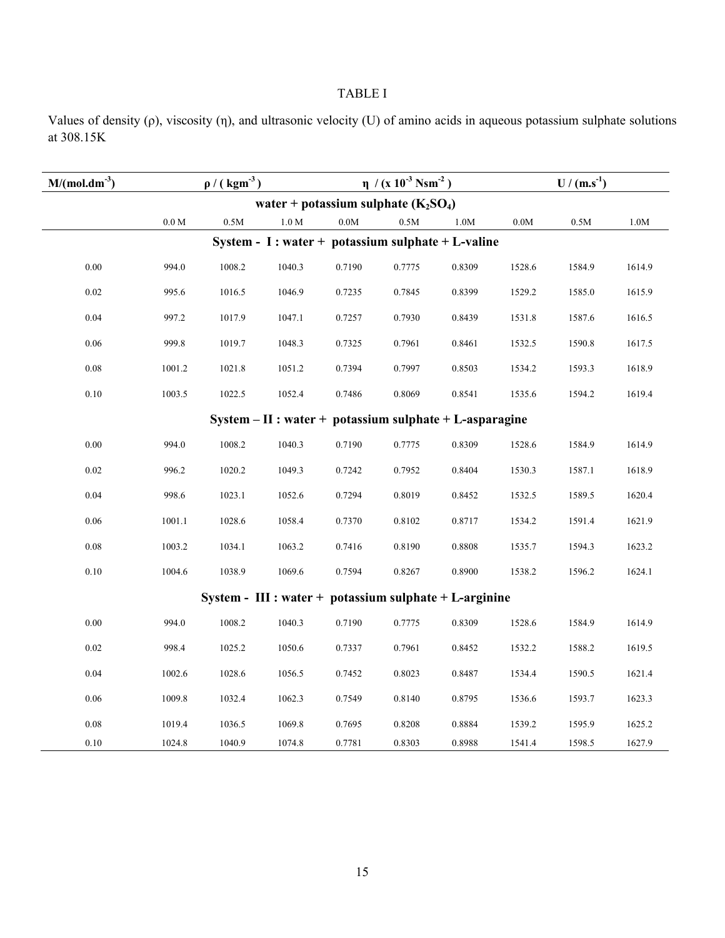# TABLE I

Values of density (ρ), viscosity (η), and ultrasonic velocity (U) of amino acids in aqueous potassium sulphate solutions at 308.15K

| $M/(mol.dim^{-3})$                                        | $\rho$ / (kgm <sup>-3</sup> ) |        |                   |        | $\eta$ /(x 10 <sup>-3</sup> Nsm <sup>-2</sup> ) |        | $U/(m.s-1)$     |                 |        |  |  |  |
|-----------------------------------------------------------|-------------------------------|--------|-------------------|--------|-------------------------------------------------|--------|-----------------|-----------------|--------|--|--|--|
| water + potassium sulphate $(K_2SO_4)$                    |                               |        |                   |        |                                                 |        |                 |                 |        |  |  |  |
|                                                           | $0.0\ \mathrm{M}$             | 0.5M   | $1.0\ \mathrm{M}$ | $0.0M$ | 0.5M                                            | 1.0M   | $0.0\mathrm{M}$ | $0.5\mathrm{M}$ | $1.0M$ |  |  |  |
| System - I : water + potassium sulphate + L-valine        |                               |        |                   |        |                                                 |        |                 |                 |        |  |  |  |
| 0.00                                                      | 994.0                         | 1008.2 | 1040.3            | 0.7190 | 0.7775                                          | 0.8309 | 1528.6          | 1584.9          | 1614.9 |  |  |  |
| 0.02                                                      | 995.6                         | 1016.5 | 1046.9            | 0.7235 | 0.7845                                          | 0.8399 | 1529.2          | 1585.0          | 1615.9 |  |  |  |
| 0.04                                                      | 997.2                         | 1017.9 | 1047.1            | 0.7257 | 0.7930                                          | 0.8439 | 1531.8          | 1587.6          | 1616.5 |  |  |  |
| 0.06                                                      | 999.8                         | 1019.7 | 1048.3            | 0.7325 | 0.7961                                          | 0.8461 | 1532.5          | 1590.8          | 1617.5 |  |  |  |
| 0.08                                                      | 1001.2                        | 1021.8 | 1051.2            | 0.7394 | 0.7997                                          | 0.8503 | 1534.2          | 1593.3          | 1618.9 |  |  |  |
| $0.10\,$                                                  | 1003.5                        | 1022.5 | 1052.4            | 0.7486 | 0.8069                                          | 0.8541 | 1535.6          | 1594.2          | 1619.4 |  |  |  |
| $System - II : water + potassium sulphate + L-asparagine$ |                               |        |                   |        |                                                 |        |                 |                 |        |  |  |  |
| 0.00                                                      | 994.0                         | 1008.2 | 1040.3            | 0.7190 | 0.7775                                          | 0.8309 | 1528.6          | 1584.9          | 1614.9 |  |  |  |
| 0.02                                                      | 996.2                         | 1020.2 | 1049.3            | 0.7242 | 0.7952                                          | 0.8404 | 1530.3          | 1587.1          | 1618.9 |  |  |  |
| 0.04                                                      | 998.6                         | 1023.1 | 1052.6            | 0.7294 | 0.8019                                          | 0.8452 | 1532.5          | 1589.5          | 1620.4 |  |  |  |
| 0.06                                                      | 1001.1                        | 1028.6 | 1058.4            | 0.7370 | 0.8102                                          | 0.8717 | 1534.2          | 1591.4          | 1621.9 |  |  |  |
| 0.08                                                      | 1003.2                        | 1034.1 | 1063.2            | 0.7416 | 0.8190                                          | 0.8808 | 1535.7          | 1594.3          | 1623.2 |  |  |  |
| 0.10                                                      | 1004.6                        | 1038.9 | 1069.6            | 0.7594 | 0.8267                                          | 0.8900 | 1538.2          | 1596.2          | 1624.1 |  |  |  |
| System - III : water + potassium sulphate + L-arginine    |                               |        |                   |        |                                                 |        |                 |                 |        |  |  |  |
| 0.00                                                      | 994.0                         | 1008.2 | 1040.3            | 0.7190 | 0.7775                                          | 0.8309 | 1528.6          | 1584.9          | 1614.9 |  |  |  |
| 0.02                                                      | 998.4                         | 1025.2 | 1050.6            | 0.7337 | 0.7961                                          | 0.8452 | 1532.2          | 1588.2          | 1619.5 |  |  |  |
| 0.04                                                      | 1002.6                        | 1028.6 | 1056.5            | 0.7452 | 0.8023                                          | 0.8487 | 1534.4          | 1590.5          | 1621.4 |  |  |  |
| 0.06                                                      | 1009.8                        | 1032.4 | 1062.3            | 0.7549 | 0.8140                                          | 0.8795 | 1536.6          | 1593.7          | 1623.3 |  |  |  |
| 0.08                                                      | 1019.4                        | 1036.5 | 1069.8            | 0.7695 | 0.8208                                          | 0.8884 | 1539.2          | 1595.9          | 1625.2 |  |  |  |
| $0.10\,$                                                  | 1024.8                        | 1040.9 | 1074.8            | 0.7781 | 0.8303                                          | 0.8988 | 1541.4          | 1598.5          | 1627.9 |  |  |  |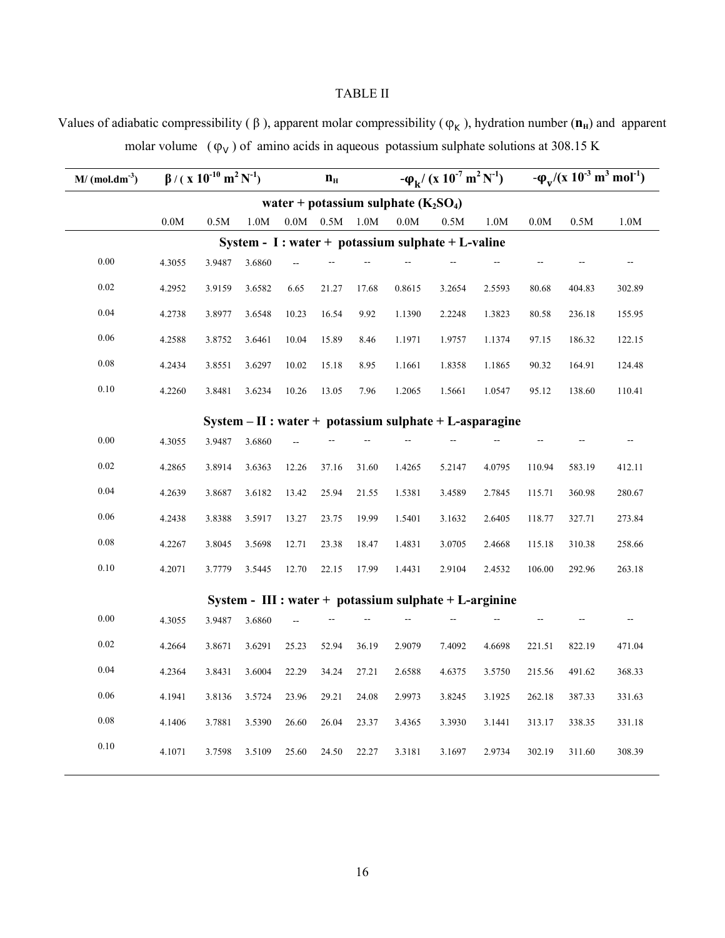# TABLE II

Values of adiabatic compressibility ( $\beta$ ), apparent molar compressibility ( $\varphi_K$ ), hydration number ( $\mathbf{n}_H$ ) and apparent molar volume  $(\varphi_V)$  of amino acids in aqueous potassium sulphate solutions at 308.15 K

| $M/(mol.dim^{-3})$                                       | $\beta$ / ( x 10 <sup>-10</sup> m <sup>2</sup> N <sup>-1</sup> ) |        |        | $\mathbf{n}_{\scriptscriptstyle\rm H}$ |                |       | $-\phi_{\mathbf{k}}/(x \ 10^{-7} \ \mathbf{m}^2 \ \mathbf{N}^{-1})$ |                                                         |        | $-\varphi_{\rm v}/(x~10^{-3}~{\rm m}^3~{\rm mol}^{-1})$ |        |        |
|----------------------------------------------------------|------------------------------------------------------------------|--------|--------|----------------------------------------|----------------|-------|---------------------------------------------------------------------|---------------------------------------------------------|--------|---------------------------------------------------------|--------|--------|
| water + potassium sulphate $(K_2SO_4)$                   |                                                                  |        |        |                                        |                |       |                                                                     |                                                         |        |                                                         |        |        |
|                                                          | 0.0M                                                             | 0.5M   | 1.0M   |                                        | $0.0M$ $-0.5M$ | 1.0M  | 0.0M                                                                | 0.5M                                                    | 1.0M   | $0.0M$                                                  | 0.5M   | $1.0M$ |
| System - I : water + potassium sulphate + L-valine       |                                                                  |        |        |                                        |                |       |                                                                     |                                                         |        |                                                         |        |        |
| 0.00                                                     | 4.3055                                                           | 3.9487 | 3.6860 |                                        |                |       |                                                                     |                                                         |        |                                                         |        |        |
| 0.02                                                     | 4.2952                                                           | 3.9159 | 3.6582 | 6.65                                   | 21.27          | 17.68 | 0.8615                                                              | 3.2654                                                  | 2.5593 | 80.68                                                   | 404.83 | 302.89 |
| 0.04                                                     | 4.2738                                                           | 3.8977 | 3.6548 | 10.23                                  | 16.54          | 9.92  | 1.1390                                                              | 2.2248                                                  | 1.3823 | 80.58                                                   | 236.18 | 155.95 |
| 0.06                                                     | 4.2588                                                           | 3.8752 | 3.6461 | 10.04                                  | 15.89          | 8.46  | 1.1971                                                              | 1.9757                                                  | 1.1374 | 97.15                                                   | 186.32 | 122.15 |
| 0.08                                                     | 4.2434                                                           | 3.8551 | 3.6297 | 10.02                                  | 15.18          | 8.95  | 1.1661                                                              | 1.8358                                                  | 1.1865 | 90.32                                                   | 164.91 | 124.48 |
| 0.10                                                     | 4.2260                                                           | 3.8481 | 3.6234 | 10.26                                  | 13.05          | 7.96  | 1.2065                                                              | 1.5661                                                  | 1.0547 | 95.12                                                   | 138.60 | 110.41 |
| $System - II: water + potassium sulphate + L-asparagine$ |                                                                  |        |        |                                        |                |       |                                                                     |                                                         |        |                                                         |        |        |
| 0.00                                                     | 4.3055                                                           | 3.9487 | 3.6860 |                                        |                |       |                                                                     |                                                         |        |                                                         |        |        |
| $0.02\,$                                                 | 4.2865                                                           | 3.8914 | 3.6363 | 12.26                                  | 37.16          | 31.60 | 1.4265                                                              | 5.2147                                                  | 4.0795 | 110.94                                                  | 583.19 | 412.11 |
| 0.04                                                     | 4.2639                                                           | 3.8687 | 3.6182 | 13.42                                  | 25.94          | 21.55 | 1.5381                                                              | 3.4589                                                  | 2.7845 | 115.71                                                  | 360.98 | 280.67 |
| 0.06                                                     | 4.2438                                                           | 3.8388 | 3.5917 | 13.27                                  | 23.75          | 19.99 | 1.5401                                                              | 3.1632                                                  | 2.6405 | 118.77                                                  | 327.71 | 273.84 |
| $0.08\,$                                                 | 4.2267                                                           | 3.8045 | 3.5698 | 12.71                                  | 23.38          | 18.47 | 1.4831                                                              | 3.0705                                                  | 2.4668 | 115.18                                                  | 310.38 | 258.66 |
| $0.10\,$                                                 | 4.2071                                                           | 3.7779 | 3.5445 | 12.70                                  | 22.15          | 17.99 | 1.4431                                                              | 2.9104                                                  | 2.4532 | 106.00                                                  | 292.96 | 263.18 |
|                                                          |                                                                  |        |        |                                        |                |       |                                                                     | System - $III: water + potassium sulphate + L-arginine$ |        |                                                         |        |        |
| 0.00                                                     | 4.3055                                                           | 3.9487 | 3.6860 |                                        |                |       |                                                                     |                                                         |        |                                                         |        |        |
| $0.02\,$                                                 | 4.2664                                                           | 3.8671 | 3.6291 | 25.23                                  | 52.94          | 36.19 | 2.9079                                                              | 7.4092                                                  | 4.6698 | 221.51                                                  | 822.19 | 471.04 |
| $0.04\,$                                                 | 4.2364                                                           | 3.8431 | 3.6004 | 22.29                                  | 34.24          | 27.21 | 2.6588                                                              | 4.6375                                                  | 3.5750 | 215.56                                                  | 491.62 | 368.33 |
| 0.06                                                     | 4.1941                                                           | 3.8136 | 3.5724 | 23.96                                  | 29.21          | 24.08 | 2.9973                                                              | 3.8245                                                  | 3.1925 | 262.18                                                  | 387.33 | 331.63 |
| 0.08                                                     | 4.1406                                                           | 3.7881 | 3.5390 | 26.60                                  | 26.04          | 23.37 | 3.4365                                                              | 3.3930                                                  | 3.1441 | 313.17                                                  | 338.35 | 331.18 |
| $0.10\,$                                                 | 4.1071                                                           | 3.7598 | 3.5109 | 25.60                                  | 24.50          | 22.27 | 3.3181                                                              | 3.1697                                                  | 2.9734 | 302.19                                                  | 311.60 | 308.39 |